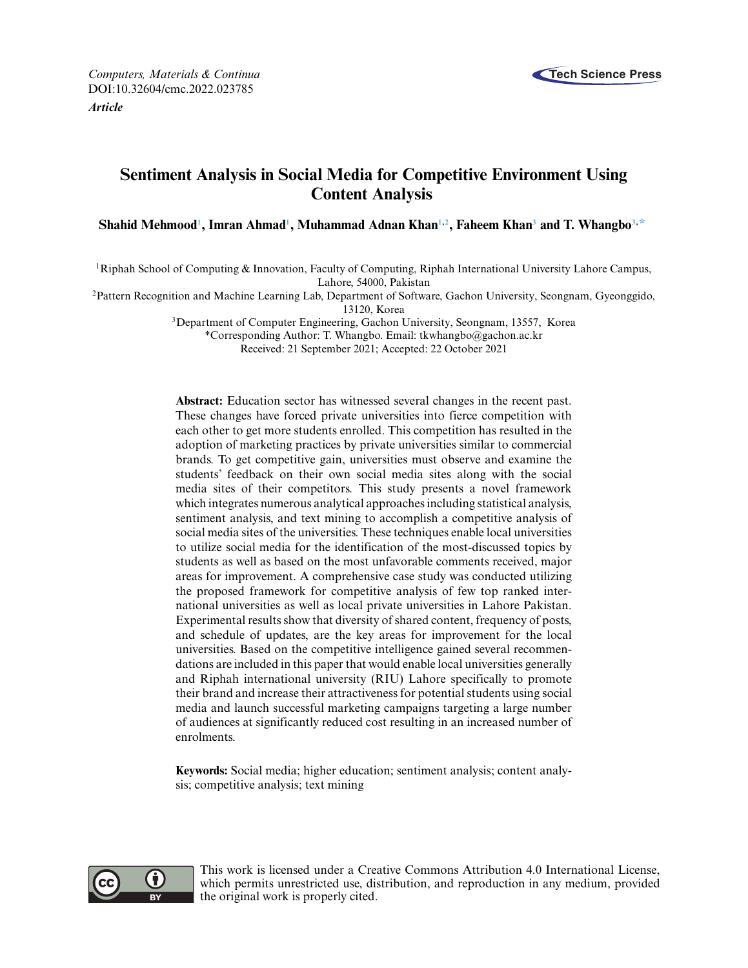

# **Sentiment Analysis in Social Media for Competitive Environment Using Content Analysis**

 $\boldsymbol{\delta}$  Shahid Mehmood<sup>1</sup>, Imran Ahmad<sup>1</sup>, Muhammad Adnan Khan<sup>1[,2](#page-0-1)</sup>, Faheem Khan<sup>3</sup> and T. Whangbo<sup>3,[\\*](#page-0-2)</sup>

<span id="page-0-0"></span>1Riphah School of Computing & Innovation, Faculty of Computing, Riphah International University Lahore Campus, Lahore, 54000, Pakistan

<span id="page-0-1"></span>2Pattern Recognition and Machine Learning Lab, Department of Software, Gachon University, Seongnam, Gyeonggido,

13120, Korea

3Department of Computer Engineering, Gachon University, Seongnam, 13557, Korea

<span id="page-0-2"></span>\*Corresponding Author: T. Whangbo. Email: [tkwhangbo@gachon.ac.kr](mailto:tkwhangbo@gachon.ac.kr)

Received: 21 September 2021; Accepted: 22 October 2021

**Abstract:** Education sector has witnessed several changes in the recent past. These changes have forced private universities into fierce competition with each other to get more students enrolled. This competition has resulted in the adoption of marketing practices by private universities similar to commercial brands. To get competitive gain, universities must observe and examine the students' feedback on their own social media sites along with the social media sites of their competitors. This study presents a novel framework which integrates numerous analytical approaches including statistical analysis, sentiment analysis, and text mining to accomplish a competitive analysis of social media sites of the universities. These techniques enable local universities to utilize social media for the identification of the most-discussed topics by students as well as based on the most unfavorable comments received, major areas for improvement. A comprehensive case study was conducted utilizing the proposed framework for competitive analysis of few top ranked international universities as well as local private universities in Lahore Pakistan. Experimental results show that diversity of shared content, frequency of posts, and schedule of updates, are the key areas for improvement for the local universities. Based on the competitive intelligence gained several recommendations are included in this paper that would enable local universities generally and Riphah international university (RIU) Lahore specifically to promote their brand and increase their attractiveness for potential students using social media and launch successful marketing campaigns targeting a large number of audiences at significantly reduced cost resulting in an increased number of enrolments.

**Keywords:** Social media; higher education; sentiment analysis; content analysis; competitive analysis; text mining



This work is licensed under a Creative Commons Attribution 4.0 International License, which permits unrestricted use, distribution, and reproduction in any medium, provided the original work is properly cited.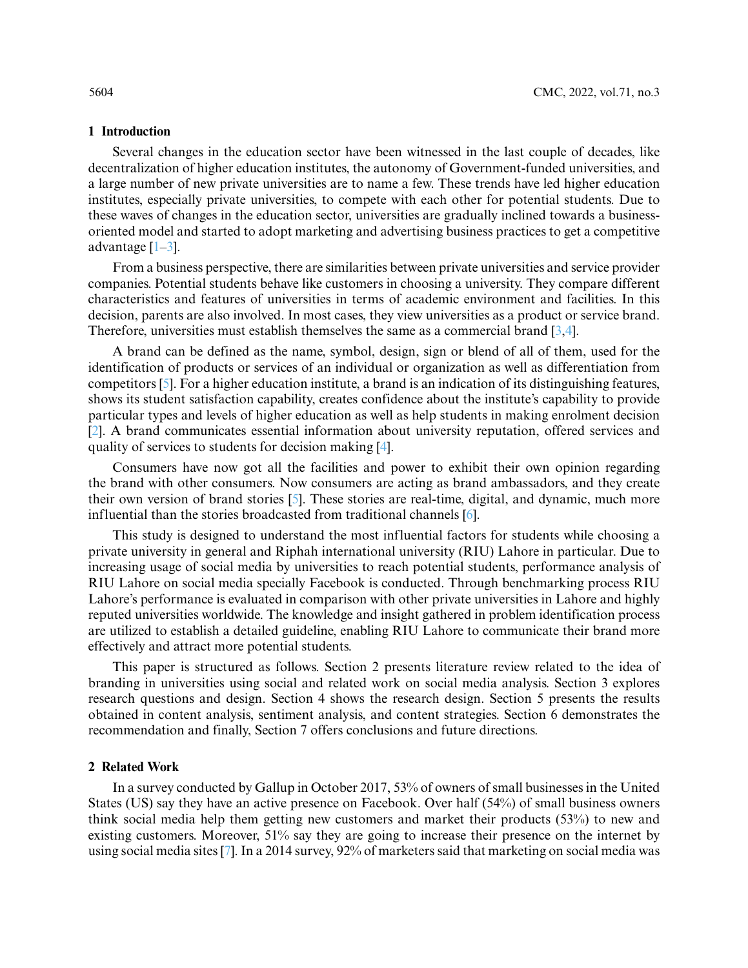### **1 Introduction**

Several changes in the education sector have been witnessed in the last couple of decades, like decentralization of higher education institutes, the autonomy of Government-funded universities, and a large number of new private universities are to name a few. These trends have led higher education institutes, especially private universities, to compete with each other for potential students. Due to these waves of changes in the education sector, universities are gradually inclined towards a businessoriented model and started to adopt marketing and advertising business practices to get a competitive advantage  $[1-3]$  $[1-3]$ .

From a business perspective, there are similarities between private universities and service provider companies. Potential students behave like customers in choosing a university. They compare different characteristics and features of universities in terms of academic environment and facilities. In this decision, parents are also involved. In most cases, they view universities as a product or service brand. Therefore, universities must establish themselves the same as a commercial brand [\[3,](#page-13-1)[4\]](#page-13-2).

A brand can be defined as the name, symbol, design, sign or blend of all of them, used for the identification of products or services of an individual or organization as well as differentiation from competitors [\[5\]](#page-14-0). For a higher education institute, a brand is an indication of its distinguishing features, shows its student satisfaction capability, creates confidence about the institute's capability to provide particular types and levels of higher education as well as help students in making enrolment decision [\[2\]](#page-13-3). A brand communicates essential information about university reputation, offered services and quality of services to students for decision making [\[4\]](#page-13-2).

Consumers have now got all the facilities and power to exhibit their own opinion regarding the brand with other consumers. Now consumers are acting as brand ambassadors, and they create their own version of brand stories [\[5\]](#page-14-0). These stories are real-time, digital, and dynamic, much more influential than the stories broadcasted from traditional channels [\[6\]](#page-14-1).

This study is designed to understand the most influential factors for students while choosing a private university in general and Riphah international university (RIU) Lahore in particular. Due to increasing usage of social media by universities to reach potential students, performance analysis of RIU Lahore on social media specially Facebook is conducted. Through benchmarking process RIU Lahore's performance is evaluated in comparison with other private universities in Lahore and highly reputed universities worldwide. The knowledge and insight gathered in problem identification process are utilized to establish a detailed guideline, enabling RIU Lahore to communicate their brand more effectively and attract more potential students.

This paper is structured as follows. Section 2 presents literature review related to the idea of branding in universities using social and related work on social media analysis. Section 3 explores research questions and design. Section 4 shows the research design. Section 5 presents the results obtained in content analysis, sentiment analysis, and content strategies. Section 6 demonstrates the recommendation and finally, Section 7 offers conclusions and future directions.

# **2 Related Work**

In a survey conducted by Gallup in October 2017, 53% of owners of small businesses in the United States (US) say they have an active presence on Facebook. Over half (54%) of small business owners think social media help them getting new customers and market their products (53%) to new and existing customers. Moreover, 51% say they are going to increase their presence on the internet by using social media sites [\[7\]](#page-14-2). In a 2014 survey, 92% of marketers said that marketing on social media was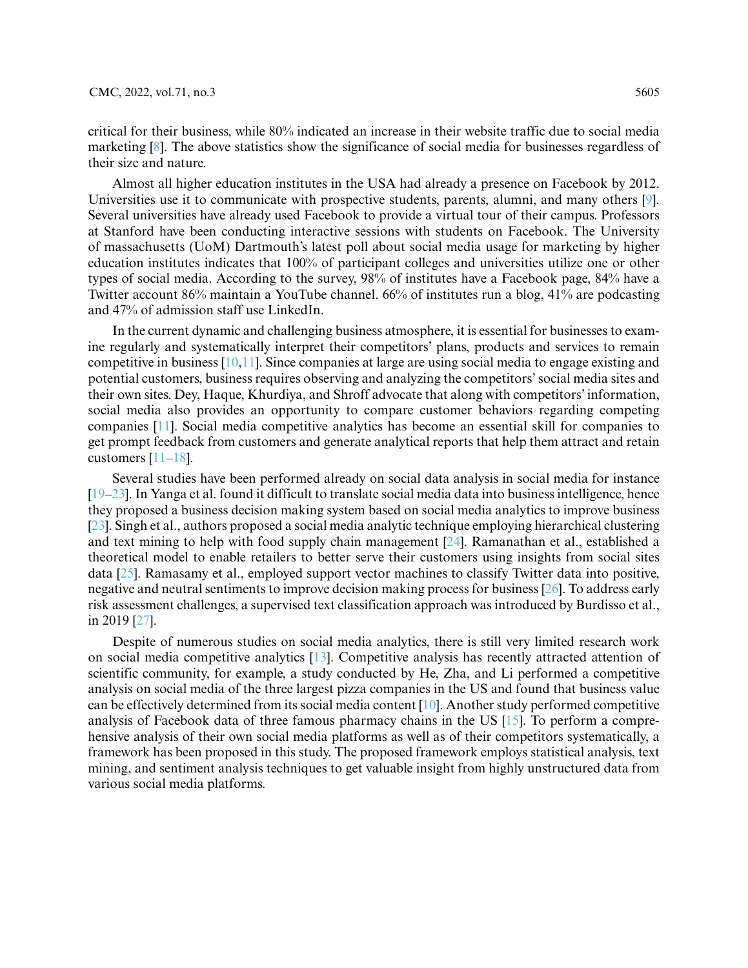critical for their business, while 80% indicated an increase in their website traffic due to social media marketing [\[8\]](#page-14-3). The above statistics show the significance of social media for businesses regardless of their size and nature.

Almost all higher education institutes in the USA had already a presence on Facebook by 2012. Universities use it to communicate with prospective students, parents, alumni, and many others [\[9\]](#page-14-4). Several universities have already used Facebook to provide a virtual tour of their campus. Professors at Stanford have been conducting interactive sessions with students on Facebook. The University of massachusetts (UoM) Dartmouth's latest poll about social media usage for marketing by higher education institutes indicates that 100% of participant colleges and universities utilize one or other types of social media. According to the survey, 98% of institutes have a Facebook page, 84% have a Twitter account 86% maintain a YouTube channel. 66% of institutes run a blog, 41% are podcasting and 47% of admission staff use LinkedIn.

In the current dynamic and challenging business atmosphere, it is essential for businesses to examine regularly and systematically interpret their competitors' plans, products and services to remain competitive in business  $[10,11]$  $[10,11]$ . Since companies at large are using social media to engage existing and potential customers, business requires observing and analyzing the competitors' social media sites and their own sites. Dey, Haque, Khurdiya, and Shroff advocate that along with competitors' information, social media also provides an opportunity to compare customer behaviors regarding competing companies [\[11\]](#page-14-6). Social media competitive analytics has become an essential skill for companies to get prompt feedback from customers and generate analytical reports that help them attract and retain customers [\[11](#page-14-6)[–18\]](#page-14-7).

Several studies have been performed already on social data analysis in social media for instance [\[19](#page-14-8)[–23\]](#page-14-9). In Yanga et al. found it difficult to translate social media data into business intelligence, hence they proposed a business decision making system based on social media analytics to improve business [\[23\]](#page-14-9). Singh et al., authors proposed a social media analytic technique employing hierarchical clustering and text mining to help with food supply chain management [\[24\]](#page-14-10). Ramanathan et al., established a theoretical model to enable retailers to better serve their customers using insights from social sites data [\[25\]](#page-14-11). Ramasamy et al., employed support vector machines to classify Twitter data into positive, negative and neutral sentiments to improve decision making process for business [\[26\]](#page-15-0). To address early risk assessment challenges, a supervised text classification approach was introduced by Burdisso et al., in 2019 [\[27\]](#page-15-1).

Despite of numerous studies on social media analytics, there is still very limited research work on social media competitive analytics [\[13\]](#page-14-12). Competitive analysis has recently attracted attention of scientific community, for example, a study conducted by He, Zha, and Li performed a competitive analysis on social media of the three largest pizza companies in the US and found that business value can be effectively determined from its social media content [\[10\]](#page-14-5). Another study performed competitive analysis of Facebook data of three famous pharmacy chains in the US  $[15]$ . To perform a comprehensive analysis of their own social media platforms as well as of their competitors systematically, a framework has been proposed in this study. The proposed framework employs statistical analysis, text mining, and sentiment analysis techniques to get valuable insight from highly unstructured data from various social media platforms.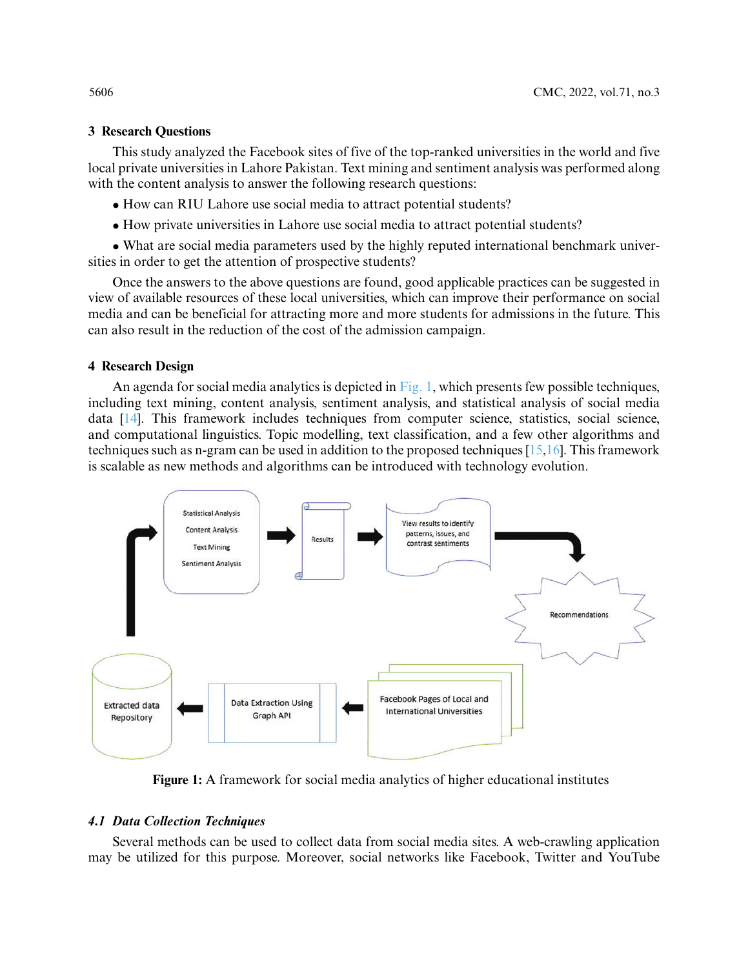# **3 Research Questions**

This study analyzed the Facebook sites of five of the top-ranked universities in the world and five local private universities in Lahore Pakistan. Text mining and sentiment analysis was performed along with the content analysis to answer the following research questions:

- How can RIU Lahore use social media to attract potential students?
- How private universities in Lahore use social media to attract potential students?

• What are social media parameters used by the highly reputed international benchmark universities in order to get the attention of prospective students?

Once the answers to the above questions are found, good applicable practices can be suggested in view of available resources of these local universities, which can improve their performance on social media and can be beneficial for attracting more and more students for admissions in the future. This can also result in the reduction of the cost of the admission campaign.

# **4 Research Design**

An agenda for social media analytics is depicted in  $Fig. 1$ , which presents few possible techniques, including text mining, content analysis, sentiment analysis, and statistical analysis of social media data [\[14\]](#page-14-14). This framework includes techniques from computer science, statistics, social science, and computational linguistics. Topic modelling, text classification, and a few other algorithms and techniques such as n-gram can be used in addition to the proposed techniques  $[15,16]$  $[15,16]$ . This framework is scalable as new methods and algorithms can be introduced with technology evolution.



**Figure 1:** A framework for social media analytics of higher educational institutes

# <span id="page-3-0"></span>*4.1 Data Collection Techniques*

Several methods can be used to collect data from social media sites. A web-crawling application may be utilized for this purpose. Moreover, social networks like Facebook, Twitter and YouTube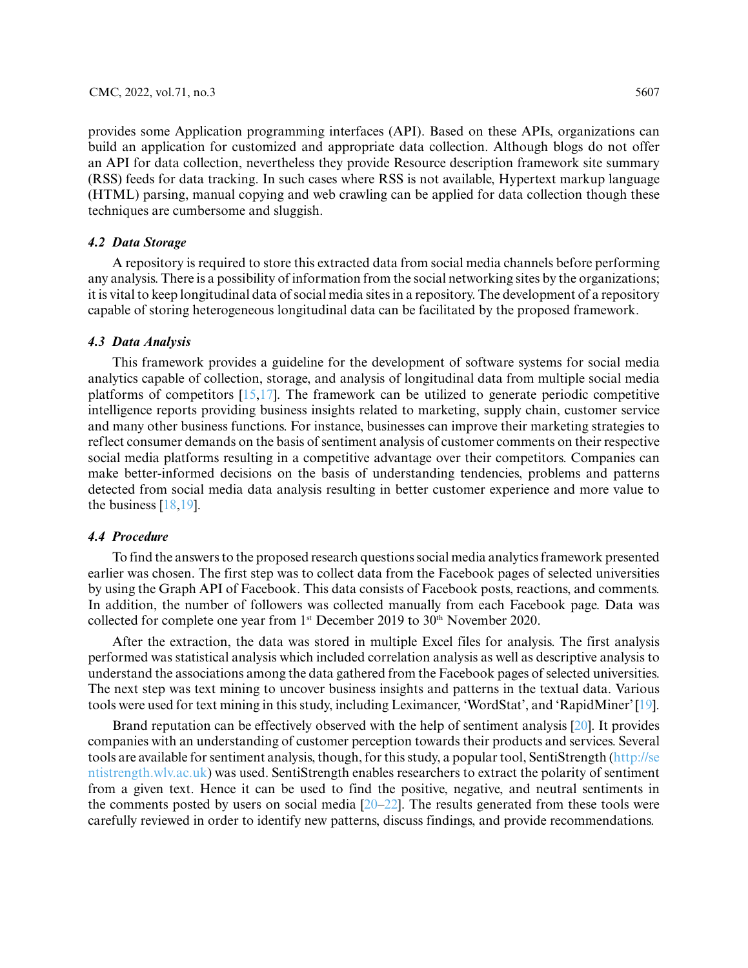provides some Application programming interfaces (API). Based on these APIs, organizations can build an application for customized and appropriate data collection. Although blogs do not offer an API for data collection, nevertheless they provide Resource description framework site summary (RSS) feeds for data tracking. In such cases where RSS is not available, Hypertext markup language (HTML) parsing, manual copying and web crawling can be applied for data collection though these techniques are cumbersome and sluggish.

### *4.2 Data Storage*

A repository is required to store this extracted data from social media channels before performing any analysis. There is a possibility of information from the social networking sites by the organizations; it is vital to keep longitudinal data of social media sites in a repository. The development of a repository capable of storing heterogeneous longitudinal data can be facilitated by the proposed framework.

### *4.3 Data Analysis*

This framework provides a guideline for the development of software systems for social media analytics capable of collection, storage, and analysis of longitudinal data from multiple social media platforms of competitors  $[15,17]$  $[15,17]$ . The framework can be utilized to generate periodic competitive intelligence reports providing business insights related to marketing, supply chain, customer service and many other business functions. For instance, businesses can improve their marketing strategies to reflect consumer demands on the basis of sentiment analysis of customer comments on their respective social media platforms resulting in a competitive advantage over their competitors. Companies can make better-informed decisions on the basis of understanding tendencies, problems and patterns detected from social media data analysis resulting in better customer experience and more value to the business [\[18](#page-14-7)[,19\]](#page-14-8).

# *4.4 Procedure*

To find the answers to the proposed research questions social media analytics framework presented earlier was chosen. The first step was to collect data from the Facebook pages of selected universities by using the Graph API of Facebook. This data consists of Facebook posts, reactions, and comments. In addition, the number of followers was collected manually from each Facebook page. Data was collected for complete one year from 1<sup>st</sup> December 2019 to 30<sup>th</sup> November 2020.

After the extraction, the data was stored in multiple Excel files for analysis. The first analysis performed was statistical analysis which included correlation analysis as well as descriptive analysis to understand the associations among the data gathered from the Facebook pages of selected universities. The next step was text mining to uncover business insights and patterns in the textual data. Various tools were used for text mining in this study, including Leximancer, 'WordStat', and 'RapidMiner' [\[19\]](#page-14-8).

Brand reputation can be effectively observed with the help of sentiment analysis [\[20\]](#page-14-17). It provides companies with an understanding of customer perception towards their products and services. Several tools are available for sentiment analysis, though, for this study, a popular tool, SentiStrength [\(http://se](http://sentistrength.wlv.ac.uk) [ntistrength.wlv.ac.uk\)](http://sentistrength.wlv.ac.uk) was used. SentiStrength enables researchers to extract the polarity of sentiment from a given text. Hence it can be used to find the positive, negative, and neutral sentiments in the comments posted by users on social media [\[20](#page-14-17)[–22\]](#page-14-18). The results generated from these tools were carefully reviewed in order to identify new patterns, discuss findings, and provide recommendations.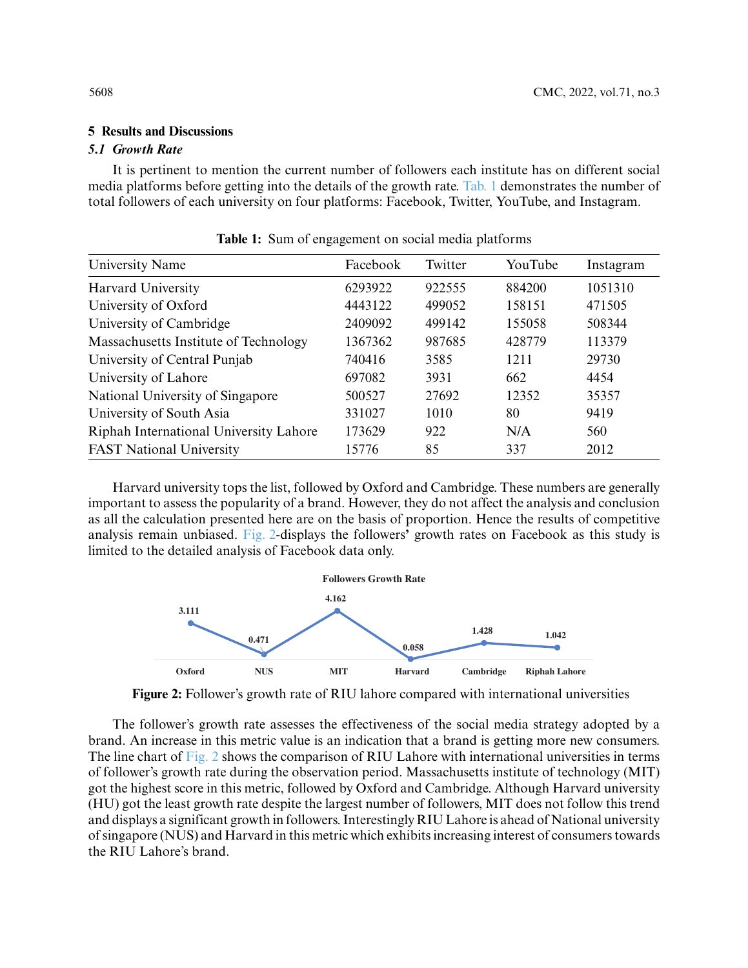# **5 Results and Discussions**

# *5.1 Growth Rate*

It is pertinent to mention the current number of followers each institute has on different social media platforms before getting into the details of the growth rate. [Tab. 1](#page-5-0) demonstrates the number of total followers of each university on four platforms: Facebook, Twitter, YouTube, and Instagram.

<span id="page-5-0"></span>

| University Name                        | Facebook | Twitter | YouTube | Instagram |
|----------------------------------------|----------|---------|---------|-----------|
| <b>Harvard University</b>              | 6293922  | 922555  | 884200  | 1051310   |
| University of Oxford                   | 4443122  | 499052  | 158151  | 471505    |
| University of Cambridge                | 2409092  | 499142  | 155058  | 508344    |
| Massachusetts Institute of Technology  | 1367362  | 987685  | 428779  | 113379    |
| University of Central Punjab           | 740416   | 3585    | 1211    | 29730     |
| University of Lahore                   | 697082   | 3931    | 662     | 4454      |
| National University of Singapore       | 500527   | 27692   | 12352   | 35357     |
| University of South Asia               | 331027   | 1010    | 80      | 9419      |
| Riphah International University Lahore | 173629   | 922     | N/A     | 560       |
| <b>FAST National University</b>        | 15776    | 85      | 337     | 2012      |

**Table 1:** Sum of engagement on social media platforms

Harvard university tops the list, followed by Oxford and Cambridge. These numbers are generally important to assess the popularity of a brand. However, they do not affect the analysis and conclusion as all the calculation presented here are on the basis of proportion. Hence the results of competitive analysis remain unbiased. [Fig. 2-](#page-5-1)displays the followers**'** growth rates on Facebook as this study is limited to the detailed analysis of Facebook data only.



<span id="page-5-1"></span>**Figure 2:** Follower's growth rate of RIU lahore compared with international universities

The follower's growth rate assesses the effectiveness of the social media strategy adopted by a brand. An increase in this metric value is an indication that a brand is getting more new consumers. The line chart of [Fig. 2](#page-5-1) shows the comparison of RIU Lahore with international universities in terms of follower's growth rate during the observation period. Massachusetts institute of technology (MIT) got the highest score in this metric, followed by Oxford and Cambridge. Although Harvard university (HU) got the least growth rate despite the largest number of followers, MIT does not follow this trend and displays a significant growth in followers. Interestingly RIU Lahore is ahead of National university of singapore (NUS) and Harvard in this metric which exhibits increasing interest of consumers towards the RIU Lahore's brand.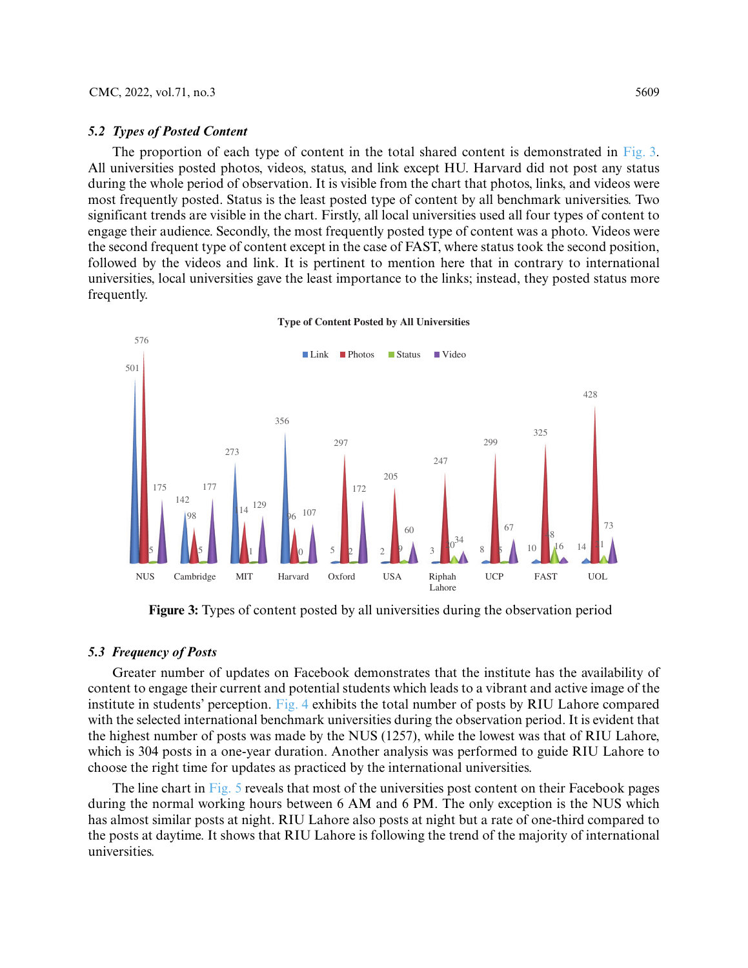#### *5.2 Types of Posted Content*

The proportion of each type of content in the total shared content is demonstrated in [Fig. 3.](#page-6-0) All universities posted photos, videos, status, and link except HU. Harvard did not post any status during the whole period of observation. It is visible from the chart that photos, links, and videos were most frequently posted. Status is the least posted type of content by all benchmark universities. Two significant trends are visible in the chart. Firstly, all local universities used all four types of content to engage their audience. Secondly, the most frequently posted type of content was a photo. Videos were the second frequent type of content except in the case of FAST, where status took the second position, followed by the videos and link. It is pertinent to mention here that in contrary to international universities, local universities gave the least importance to the links; instead, they posted status more frequently.



<span id="page-6-0"></span>**Figure 3:** Types of content posted by all universities during the observation period

# *5.3 Frequency of Posts*

Greater number of updates on Facebook demonstrates that the institute has the availability of content to engage their current and potential students which leads to a vibrant and active image of the institute in students' perception. [Fig. 4](#page-7-0) exhibits the total number of posts by RIU Lahore compared with the selected international benchmark universities during the observation period. It is evident that the highest number of posts was made by the NUS (1257), while the lowest was that of RIU Lahore, which is 304 posts in a one-year duration. Another analysis was performed to guide RIU Lahore to choose the right time for updates as practiced by the international universities.

The line chart in [Fig. 5](#page-7-1) reveals that most of the universities post content on their Facebook pages during the normal working hours between 6 AM and 6 PM. The only exception is the NUS which has almost similar posts at night. RIU Lahore also posts at night but a rate of one-third compared to the posts at daytime. It shows that RIU Lahore is following the trend of the majority of international universities.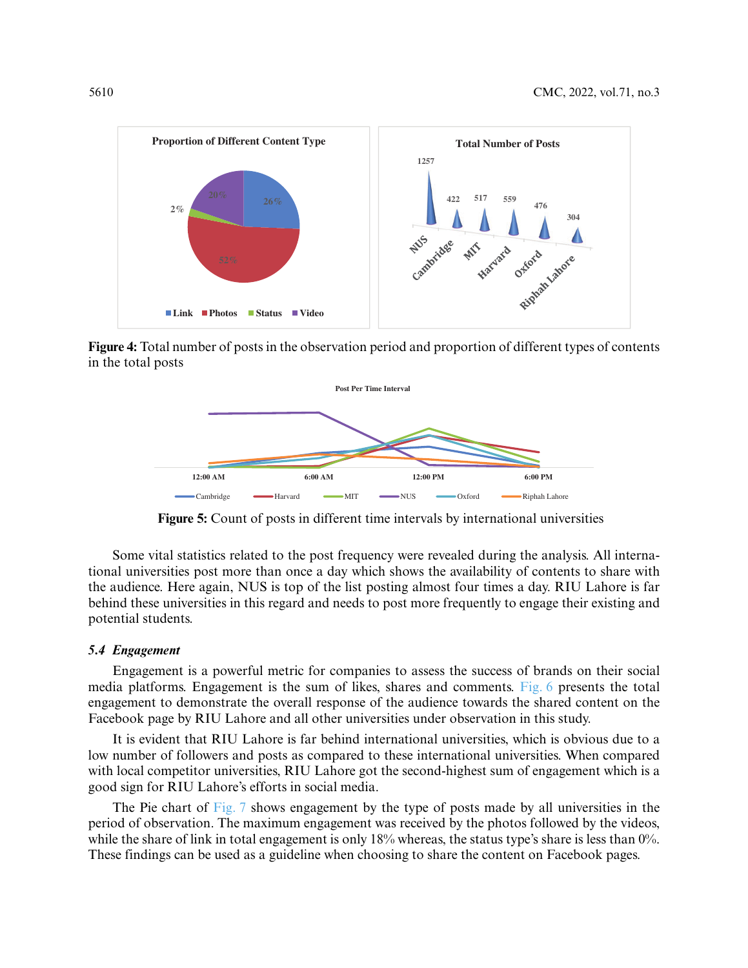

<span id="page-7-0"></span>**Figure 4:** Total number of posts in the observation period and proportion of different types of contents in the total posts



**Figure 5:** Count of posts in different time intervals by international universities

<span id="page-7-1"></span>Some vital statistics related to the post frequency were revealed during the analysis. All international universities post more than once a day which shows the availability of contents to share with the audience. Here again, NUS is top of the list posting almost four times a day. RIU Lahore is far behind these universities in this regard and needs to post more frequently to engage their existing and potential students.

### *5.4 Engagement*

Engagement is a powerful metric for companies to assess the success of brands on their social media platforms. Engagement is the sum of likes, shares and comments. [Fig. 6](#page-8-0) presents the total engagement to demonstrate the overall response of the audience towards the shared content on the Facebook page by RIU Lahore and all other universities under observation in this study.

It is evident that RIU Lahore is far behind international universities, which is obvious due to a low number of followers and posts as compared to these international universities. When compared with local competitor universities, RIU Lahore got the second-highest sum of engagement which is a good sign for RIU Lahore's efforts in social media.

The Pie chart of [Fig. 7](#page-8-1) shows engagement by the type of posts made by all universities in the period of observation. The maximum engagement was received by the photos followed by the videos, while the share of link in total engagement is only 18% whereas, the status type's share is less than 0%. These findings can be used as a guideline when choosing to share the content on Facebook pages.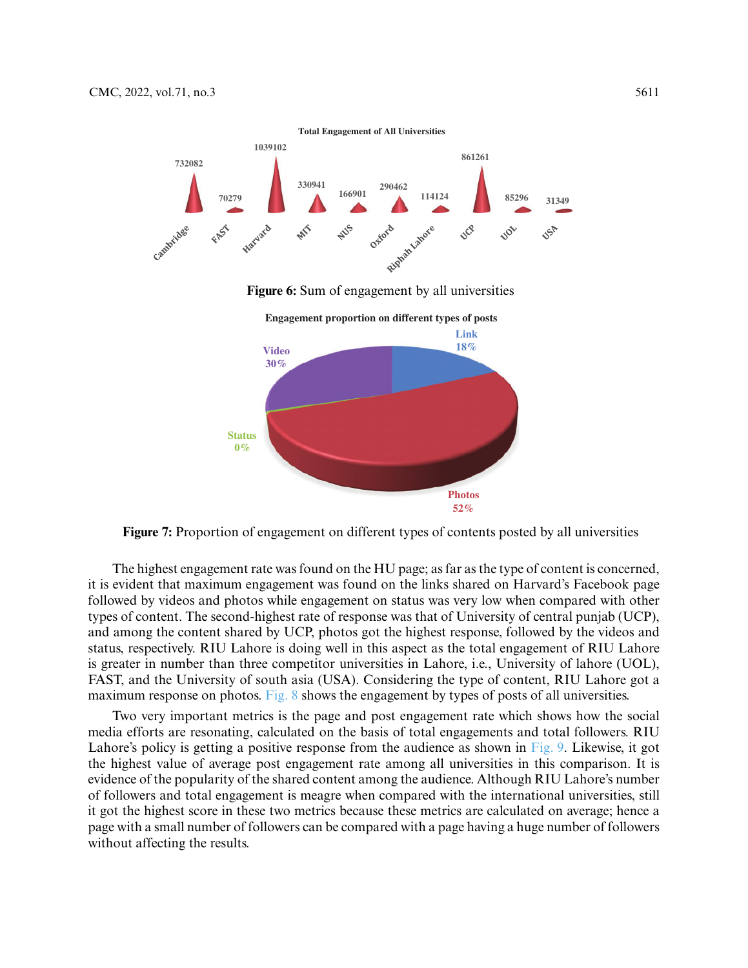<span id="page-8-0"></span>

<span id="page-8-1"></span>**Figure 7:** Proportion of engagement on different types of contents posted by all universities

**Photos 52%**

The highest engagement rate was found on the HU page; as far as the type of content is concerned, it is evident that maximum engagement was found on the links shared on Harvard's Facebook page followed by videos and photos while engagement on status was very low when compared with other types of content. The second-highest rate of response was that of University of central punjab (UCP), and among the content shared by UCP, photos got the highest response, followed by the videos and status, respectively. RIU Lahore is doing well in this aspect as the total engagement of RIU Lahore is greater in number than three competitor universities in Lahore, i.e., University of lahore (UOL), FAST, and the University of south asia (USA). Considering the type of content, RIU Lahore got a maximum response on photos. [Fig. 8](#page-9-0) shows the engagement by types of posts of all universities.

Two very important metrics is the page and post engagement rate which shows how the social media efforts are resonating, calculated on the basis of total engagements and total followers. RIU Lahore's policy is getting a positive response from the audience as shown in [Fig. 9.](#page-9-1) Likewise, it got the highest value of average post engagement rate among all universities in this comparison. It is evidence of the popularity of the shared content among the audience. Although RIU Lahore's number of followers and total engagement is meagre when compared with the international universities, still it got the highest score in these two metrics because these metrics are calculated on average; hence a page with a small number of followers can be compared with a page having a huge number of followers without affecting the results.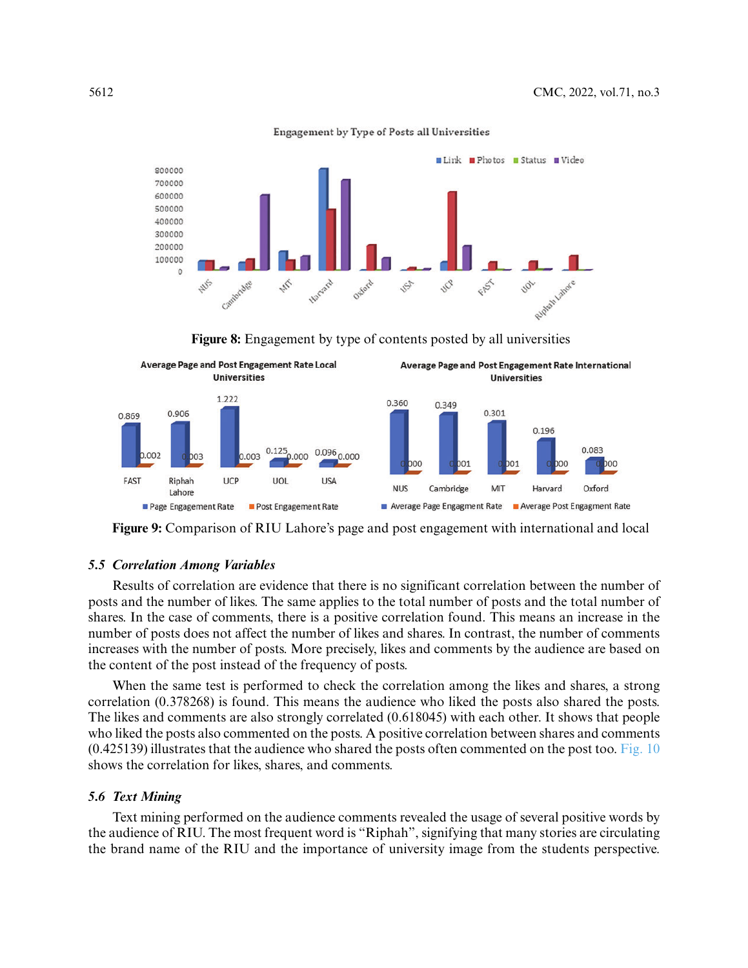

Engagement by Type of Posts all Universities

**Figure 8:** Engagement by type of contents posted by all universities

<span id="page-9-0"></span>

<span id="page-9-1"></span>**Figure 9:** Comparison of RIU Lahore's page and post engagement with international and local

#### *5.5 Correlation Among Variables*

Results of correlation are evidence that there is no significant correlation between the number of posts and the number of likes. The same applies to the total number of posts and the total number of shares. In the case of comments, there is a positive correlation found. This means an increase in the number of posts does not affect the number of likes and shares. In contrast, the number of comments increases with the number of posts. More precisely, likes and comments by the audience are based on the content of the post instead of the frequency of posts.

When the same test is performed to check the correlation among the likes and shares, a strong correlation (0.378268) is found. This means the audience who liked the posts also shared the posts. The likes and comments are also strongly correlated (0.618045) with each other. It shows that people who liked the posts also commented on the posts. A positive correlation between shares and comments  $(0.425139)$  illustrates that the audience who shared the posts often commented on the post too. [Fig. 10](#page-10-0) shows the correlation for likes, shares, and comments.

### *5.6 Text Mining*

Text mining performed on the audience comments revealed the usage of several positive words by the audience of RIU. The most frequent word is "Riphah", signifying that many stories are circulating the brand name of the RIU and the importance of university image from the students perspective.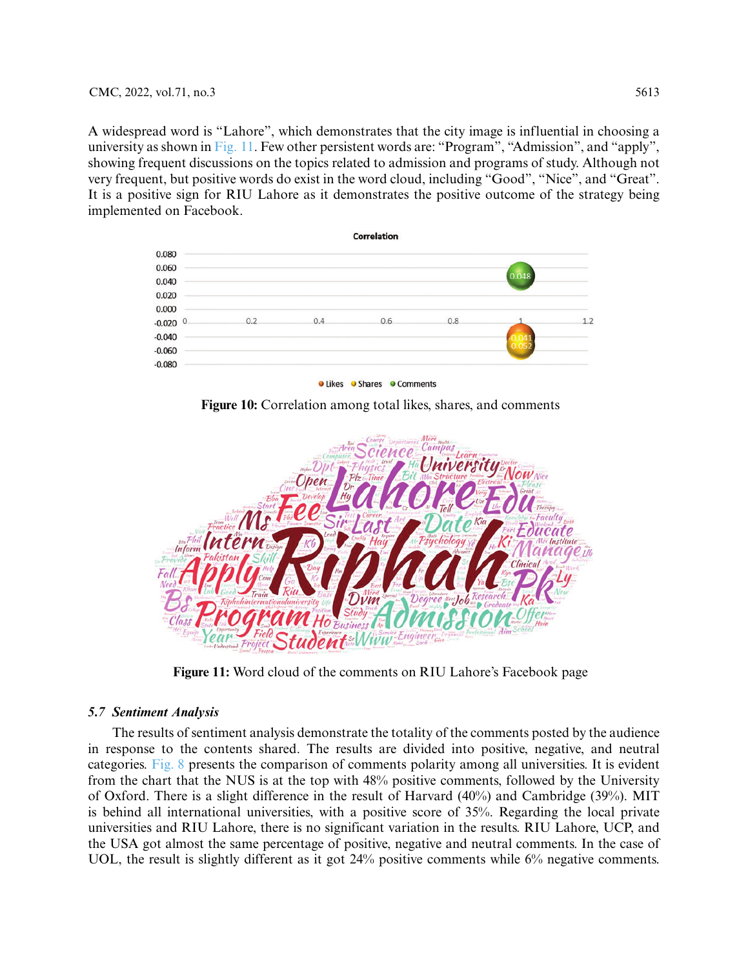A widespread word is "Lahore", which demonstrates that the city image is influential in choosing a university as shown in [Fig. 11.](#page-10-1) Few other persistent words are: "Program", "Admission", and "apply", showing frequent discussions on the topics related to admission and programs of study. Although not very frequent, but positive words do exist in the word cloud, including "Good", "Nice", and "Great". It is a positive sign for RIU Lahore as it demonstrates the positive outcome of the strategy being implemented on Facebook.



O Likes O Shares O Comments

**Figure 10:** Correlation among total likes, shares, and comments

<span id="page-10-0"></span>

**Figure 11:** Word cloud of the comments on RIU Lahore's Facebook page

# <span id="page-10-1"></span>*5.7 Sentiment Analysis*

The results of sentiment analysis demonstrate the totality of the comments posted by the audience in response to the contents shared. The results are divided into positive, negative, and neutral categories. [Fig. 8](#page-9-0) presents the comparison of comments polarity among all universities. It is evident from the chart that the NUS is at the top with 48% positive comments, followed by the University of Oxford. There is a slight difference in the result of Harvard (40%) and Cambridge (39%). MIT is behind all international universities, with a positive score of 35%. Regarding the local private universities and RIU Lahore, there is no significant variation in the results. RIU Lahore, UCP, and the USA got almost the same percentage of positive, negative and neutral comments. In the case of UOL, the result is slightly different as it got 24% positive comments while 6% negative comments.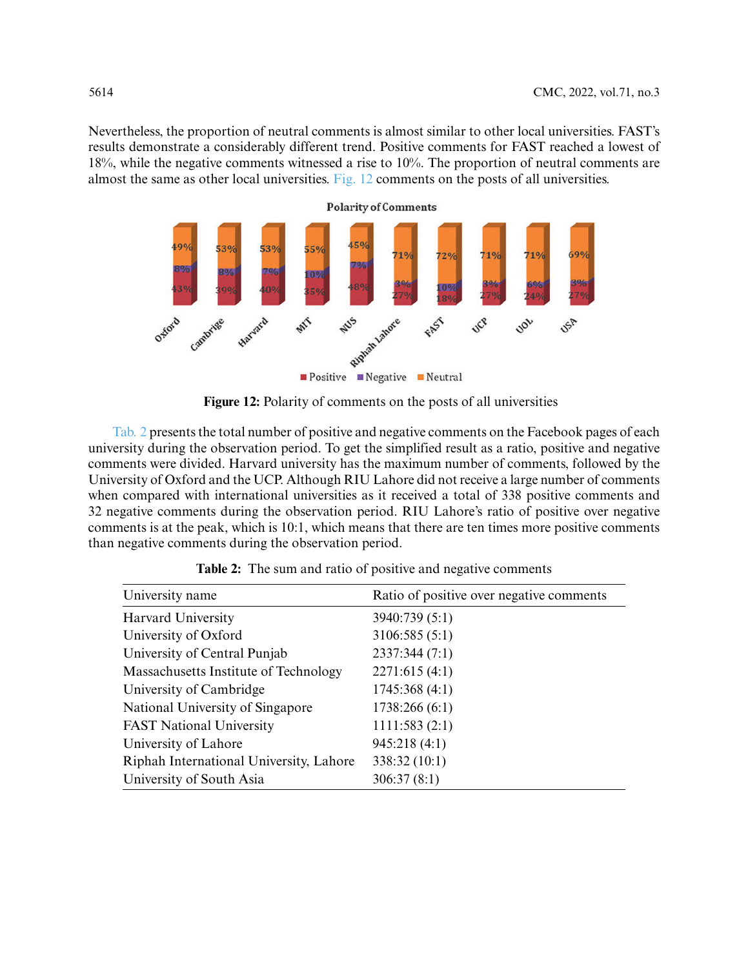Nevertheless, the proportion of neutral comments is almost similar to other local universities. FAST's results demonstrate a considerably different trend. Positive comments for FAST reached a lowest of 18%, while the negative comments witnessed a rise to 10%. The proportion of neutral comments are almost the same as other local universities. [Fig. 12](#page-11-0) comments on the posts of all universities.



**Figure 12:** Polarity of comments on the posts of all universities

<span id="page-11-0"></span>[Tab. 2](#page-11-1) presents the total number of positive and negative comments on the Facebook pages of each university during the observation period. To get the simplified result as a ratio, positive and negative comments were divided. Harvard university has the maximum number of comments, followed by the University of Oxford and the UCP. Although RIU Lahore did not receive a large number of comments when compared with international universities as it received a total of 338 positive comments and 32 negative comments during the observation period. RIU Lahore's ratio of positive over negative comments is at the peak, which is 10:1, which means that there are ten times more positive comments than negative comments during the observation period.

<span id="page-11-1"></span>

| University name                         | Ratio of positive over negative comments |
|-----------------------------------------|------------------------------------------|
| <b>Harvard University</b>               | 3940:739 (5:1)                           |
| University of Oxford                    | 3106:585 (5:1)                           |
| University of Central Punjab            | 2337:344 (7:1)                           |
| Massachusetts Institute of Technology   | 2271:615(4:1)                            |
| University of Cambridge                 | 1745:368(4:1)                            |
| National University of Singapore        | 1738:266(6:1)                            |
| <b>FAST National University</b>         | 1111:583(2:1)                            |
| University of Lahore                    | 945:218(4:1)                             |
| Riphah International University, Lahore | 338:32(10:1)                             |
| University of South Asia                | 306:37(8:1)                              |

Table 2: The sum and ratio of positive and negative comments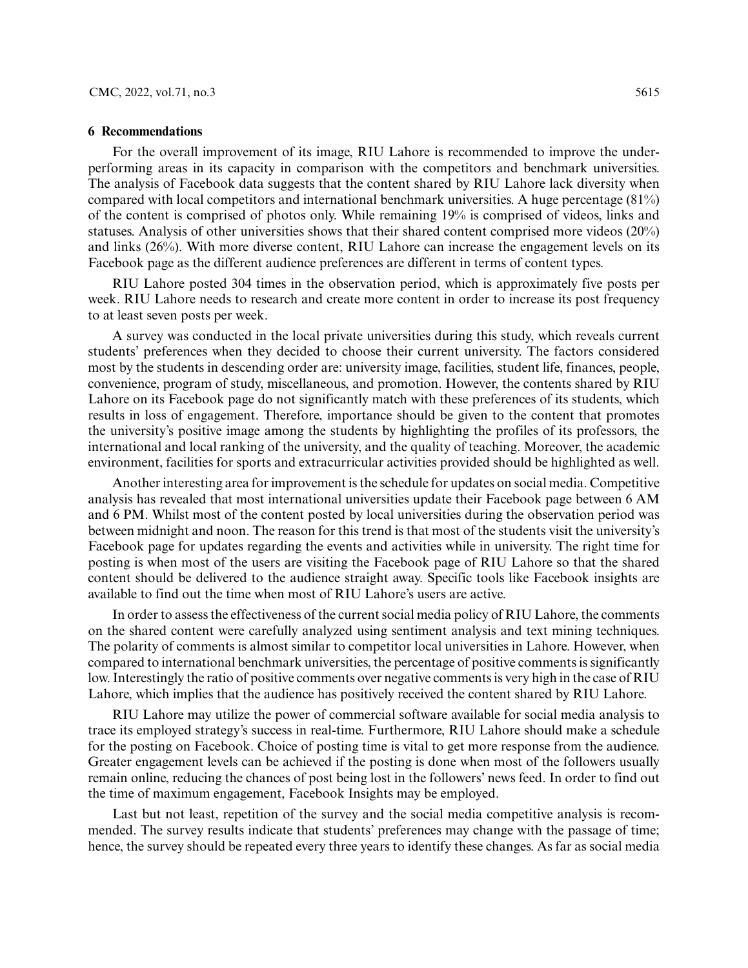### **6 Recommendations**

For the overall improvement of its image, RIU Lahore is recommended to improve the underperforming areas in its capacity in comparison with the competitors and benchmark universities. The analysis of Facebook data suggests that the content shared by RIU Lahore lack diversity when compared with local competitors and international benchmark universities. A huge percentage (81%) of the content is comprised of photos only. While remaining 19% is comprised of videos, links and statuses. Analysis of other universities shows that their shared content comprised more videos (20%) and links (26%). With more diverse content, RIU Lahore can increase the engagement levels on its Facebook page as the different audience preferences are different in terms of content types.

RIU Lahore posted 304 times in the observation period, which is approximately five posts per week. RIU Lahore needs to research and create more content in order to increase its post frequency to at least seven posts per week.

A survey was conducted in the local private universities during this study, which reveals current students' preferences when they decided to choose their current university. The factors considered most by the students in descending order are: university image, facilities, student life, finances, people, convenience, program of study, miscellaneous, and promotion. However, the contents shared by RIU Lahore on its Facebook page do not significantly match with these preferences of its students, which results in loss of engagement. Therefore, importance should be given to the content that promotes the university's positive image among the students by highlighting the profiles of its professors, the international and local ranking of the university, and the quality of teaching. Moreover, the academic environment, facilities for sports and extracurricular activities provided should be highlighted as well.

Another interesting area for improvement is the schedule for updates on social media. Competitive analysis has revealed that most international universities update their Facebook page between 6 AM and 6 PM. Whilst most of the content posted by local universities during the observation period was between midnight and noon. The reason for this trend is that most of the students visit the university's Facebook page for updates regarding the events and activities while in university. The right time for posting is when most of the users are visiting the Facebook page of RIU Lahore so that the shared content should be delivered to the audience straight away. Specific tools like Facebook insights are available to find out the time when most of RIU Lahore's users are active.

In order to assess the effectiveness of the current social media policy of RIU Lahore, the comments on the shared content were carefully analyzed using sentiment analysis and text mining techniques. The polarity of comments is almost similar to competitor local universities in Lahore. However, when compared to international benchmark universities, the percentage of positive comments is significantly low. Interestingly the ratio of positive comments over negative comments is very high in the case of RIU Lahore, which implies that the audience has positively received the content shared by RIU Lahore.

RIU Lahore may utilize the power of commercial software available for social media analysis to trace its employed strategy's success in real-time. Furthermore, RIU Lahore should make a schedule for the posting on Facebook. Choice of posting time is vital to get more response from the audience. Greater engagement levels can be achieved if the posting is done when most of the followers usually remain online, reducing the chances of post being lost in the followers' news feed. In order to find out the time of maximum engagement, Facebook Insights may be employed.

Last but not least, repetition of the survey and the social media competitive analysis is recommended. The survey results indicate that students' preferences may change with the passage of time; hence, the survey should be repeated every three years to identify these changes. As far as social media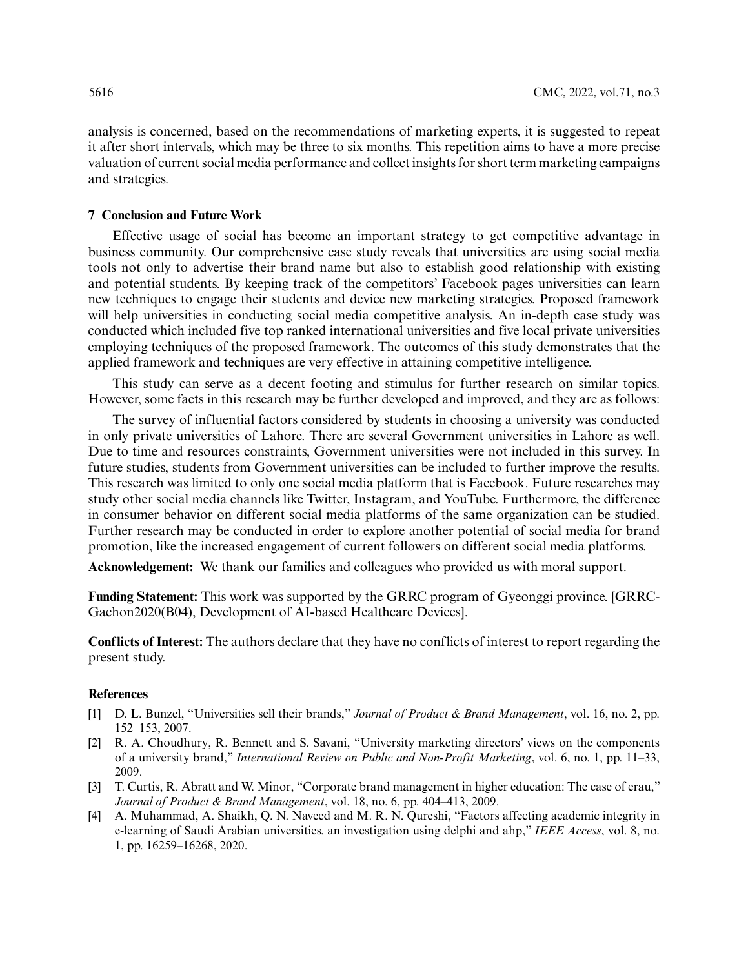analysis is concerned, based on the recommendations of marketing experts, it is suggested to repeat it after short intervals, which may be three to six months. This repetition aims to have a more precise valuation of current social media performance and collect insights for short term marketing campaigns and strategies.

### **7 Conclusion and Future Work**

Effective usage of social has become an important strategy to get competitive advantage in business community. Our comprehensive case study reveals that universities are using social media tools not only to advertise their brand name but also to establish good relationship with existing and potential students. By keeping track of the competitors' Facebook pages universities can learn new techniques to engage their students and device new marketing strategies. Proposed framework will help universities in conducting social media competitive analysis. An in-depth case study was conducted which included five top ranked international universities and five local private universities employing techniques of the proposed framework. The outcomes of this study demonstrates that the applied framework and techniques are very effective in attaining competitive intelligence.

This study can serve as a decent footing and stimulus for further research on similar topics. However, some facts in this research may be further developed and improved, and they are as follows:

The survey of influential factors considered by students in choosing a university was conducted in only private universities of Lahore. There are several Government universities in Lahore as well. Due to time and resources constraints, Government universities were not included in this survey. In future studies, students from Government universities can be included to further improve the results. This research was limited to only one social media platform that is Facebook. Future researches may study other social media channels like Twitter, Instagram, and YouTube. Furthermore, the difference in consumer behavior on different social media platforms of the same organization can be studied. Further research may be conducted in order to explore another potential of social media for brand promotion, like the increased engagement of current followers on different social media platforms.

**Acknowledgement:** We thank our families and colleagues who provided us with moral support.

**Funding Statement:** This work was supported by the GRRC program of Gyeonggi province. [GRRC-Gachon2020(B04), Development of AI-based Healthcare Devices].

**Conflicts of Interest:** The authors declare that they have no conflicts of interest to report regarding the present study.

### **References**

- <span id="page-13-0"></span>[1] D. L. Bunzel, "Universities sell their brands," *Journal of Product & Brand Management*, vol. 16, no. 2, pp. 152–153, 2007.
- <span id="page-13-3"></span>[2] R. A. Choudhury, R. Bennett and S. Savani, "University marketing directors' views on the components of a university brand," *International Review on Public and Non-Profit Marketing*, vol. 6, no. 1, pp. 11–33, 2009.
- <span id="page-13-1"></span>[3] T. Curtis, R. Abratt and W. Minor, "Corporate brand management in higher education: The case of erau," *Journal of Product & Brand Management*, vol. 18, no. 6, pp. 404–413, 2009.
- <span id="page-13-2"></span>[4] A. Muhammad, A. Shaikh, Q. N. Naveed and M. R. N. Qureshi, "Factors affecting academic integrity in e-learning of Saudi Arabian universities. an investigation using delphi and ahp," *IEEE Access*, vol. 8, no. 1, pp. 16259–16268, 2020.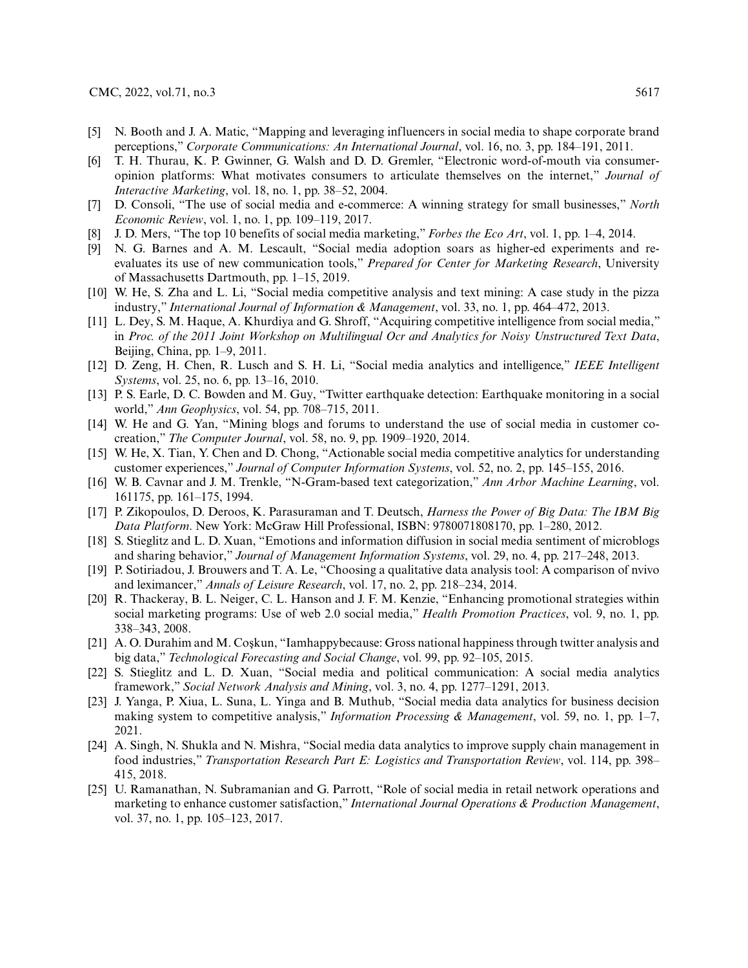- <span id="page-14-0"></span>[5] N. Booth and J. A. Matic, "Mapping and leveraging influencers in social media to shape corporate brand perceptions," *Corporate Communications: An International Journal*, vol. 16, no. 3, pp. 184–191, 2011.
- <span id="page-14-1"></span>[6] T. H. Thurau, K. P. Gwinner, G. Walsh and D. D. Gremler, "Electronic word-of-mouth via consumeropinion platforms: What motivates consumers to articulate themselves on the internet," *Journal of Interactive Marketing*, vol. 18, no. 1, pp. 38–52, 2004.
- <span id="page-14-2"></span>[7] D. Consoli, "The use of social media and e-commerce: A winning strategy for small businesses," *North Economic Review*, vol. 1, no. 1, pp. 109–119, 2017.
- <span id="page-14-3"></span>[8] J. D. Mers, "The top 10 benefits of social media marketing," *Forbes the Eco Art*, vol. 1, pp. 1–4, 2014.
- <span id="page-14-4"></span>[9] N. G. Barnes and A. M. Lescault, "Social media adoption soars as higher-ed experiments and reevaluates its use of new communication tools," *Prepared for Center for Marketing Research*, University of Massachusetts Dartmouth, pp. 1–15, 2019.
- <span id="page-14-5"></span>[10] W. He, S. Zha and L. Li, "Social media competitive analysis and text mining: A case study in the pizza industry," *International Journal of Information & Management*, vol. 33, no. 1, pp. 464–472, 2013.
- <span id="page-14-6"></span>[11] L. Dey, S. M. Haque, A. Khurdiya and G. Shroff, "Acquiring competitive intelligence from social media," in *Proc. of the 2011 Joint Workshop on Multilingual Ocr and Analytics for Noisy Unstructured Text Data*, Beijing, China, pp. 1–9, 2011.
- [12] D. Zeng, H. Chen, R. Lusch and S. H. Li, "Social media analytics and intelligence," *IEEE Intelligent Systems*, vol. 25, no. 6, pp. 13–16, 2010.
- <span id="page-14-12"></span>[13] P. S. Earle, D. C. Bowden and M. Guy, "Twitter earthquake detection: Earthquake monitoring in a social world," *Ann Geophysics*, vol. 54, pp. 708–715, 2011.
- <span id="page-14-14"></span>[14] W. He and G. Yan, "Mining blogs and forums to understand the use of social media in customer cocreation," *The Computer Journal*, vol. 58, no. 9, pp. 1909–1920, 2014.
- <span id="page-14-13"></span>[15] W. He, X. Tian, Y. Chen and D. Chong, "Actionable social media competitive analytics for understanding customer experiences," *Journal of Computer Information Systems*, vol. 52, no. 2, pp. 145–155, 2016.
- <span id="page-14-15"></span>[16] W. B. Cavnar and J. M. Trenkle, "N-Gram-based text categorization," *Ann Arbor Machine Learning*, vol. 161175, pp. 161–175, 1994.
- <span id="page-14-16"></span>[17] P. Zikopoulos, D. Deroos, K. Parasuraman and T. Deutsch, *Harness the Power of Big Data: The IBM Big Data Platform*. New York: McGraw Hill Professional, ISBN: 9780071808170, pp. 1–280, 2012.
- <span id="page-14-7"></span>[18] S. Stieglitz and L. D. Xuan, "Emotions and information diffusion in social media sentiment of microblogs and sharing behavior," *Journal of Management Information Systems*, vol. 29, no. 4, pp. 217–248, 2013.
- <span id="page-14-8"></span>[19] P. Sotiriadou, J. Brouwers and T. A. Le, "Choosing a qualitative data analysis tool: A comparison of nvivo and leximancer," *Annals of Leisure Research*, vol. 17, no. 2, pp. 218–234, 2014.
- <span id="page-14-17"></span>[20] R. Thackeray, B. L. Neiger, C. L. Hanson and J. F. M. Kenzie, "Enhancing promotional strategies within social marketing programs: Use of web 2.0 social media," *Health Promotion Practices*, vol. 9, no. 1, pp. 338–343, 2008.
- [21] A. O. Durahim and M. Coşkun, "Iamhappybecause: Gross national happiness through twitter analysis and big data," *Technological Forecasting and Social Change*, vol. 99, pp. 92–105, 2015.
- <span id="page-14-18"></span>[22] S. Stieglitz and L. D. Xuan, "Social media and political communication: A social media analytics framework," *Social Network Analysis and Mining*, vol. 3, no. 4, pp. 1277–1291, 2013.
- <span id="page-14-9"></span>[23] J. Yanga, P. Xiua, L. Suna, L. Yinga and B. Muthub, "Social media data analytics for business decision making system to competitive analysis," *Information Processing & Management*, vol. 59, no. 1, pp. 1–7, 2021.
- <span id="page-14-10"></span>[24] A. Singh, N. Shukla and N. Mishra, "Social media data analytics to improve supply chain management in food industries," *Transportation Research Part E: Logistics and Transportation Review*, vol. 114, pp. 398– 415, 2018.
- <span id="page-14-11"></span>[25] U. Ramanathan, N. Subramanian and G. Parrott, "Role of social media in retail network operations and marketing to enhance customer satisfaction," *International Journal Operations & Production Management*, vol. 37, no. 1, pp. 105–123, 2017.